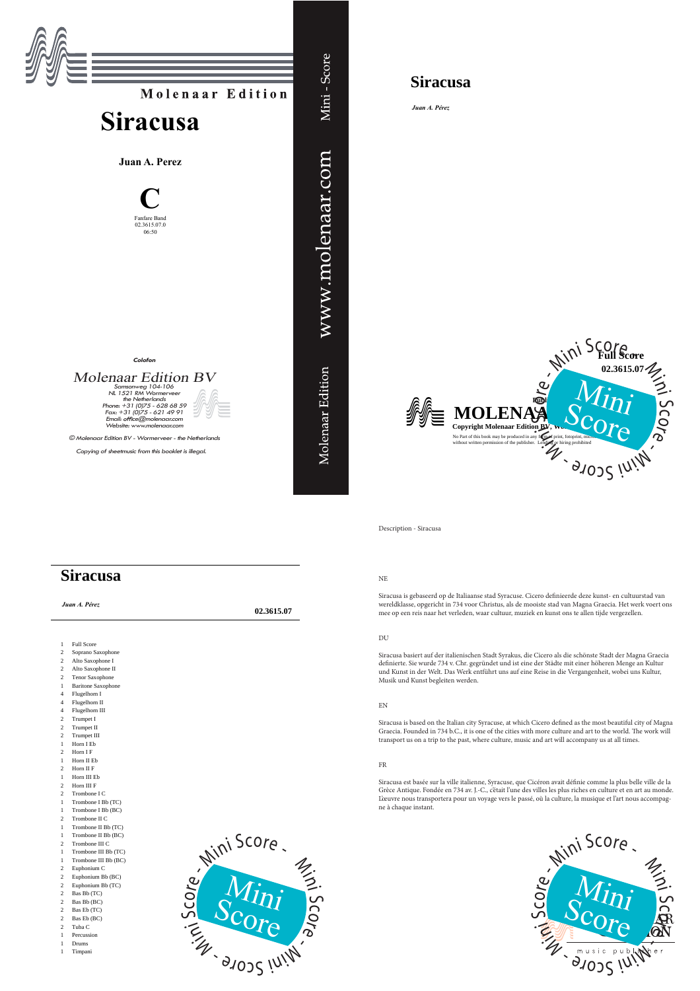

# **Siracusa**

|                          | Juan A. Pérez             |                                            |
|--------------------------|---------------------------|--------------------------------------------|
|                          |                           | 02.3615.07                                 |
|                          |                           |                                            |
|                          |                           |                                            |
| $\mathbf{1}$             | <b>Full Score</b>         |                                            |
| $\overline{c}$           | Soprano Saxophone         |                                            |
| $\overline{c}$           | Alto Saxophone I          |                                            |
| $\overline{\mathcal{L}}$ | Alto Saxophone II         |                                            |
| $\mathfrak{D}$           | Tenor Saxophone           |                                            |
| $\mathbf{1}$             | <b>Baritone Saxophone</b> |                                            |
| $\overline{4}$           | Flugelhorn I              |                                            |
| 4                        | Flugelhorn II             |                                            |
| 4                        | Flugelhorn III            |                                            |
| $\overline{c}$           | Trumpet I                 |                                            |
| $\overline{c}$           | Trumpet II                |                                            |
| $\overline{c}$           | Trumpet III               |                                            |
| $\mathbf{1}$             | Horn I Eb                 |                                            |
| $\overline{\mathcal{L}}$ | Horn I F                  |                                            |
| $\mathbf{I}$             | Horn II Eb                |                                            |
| $\overline{\mathcal{L}}$ | Horn II F                 |                                            |
| $\mathbf{1}$             | Horn III Eb               |                                            |
| $\overline{\mathcal{L}}$ | Horn III F                |                                            |
| $\overline{\mathcal{L}}$ | Trombone I C              |                                            |
| 1                        | Trombone I Bb (TC)        |                                            |
| 1                        | Trombone I Bb (BC)        |                                            |
| $\overline{\mathcal{L}}$ | Trombone II C             |                                            |
| 1                        | Trombone II Bb (TC)       |                                            |
| 1                        | Trombone II Bb (BC)       | Mini Score                                 |
| $\overline{\mathcal{L}}$ | Trombone III C            |                                            |
| 1                        | Trombone III Bb (TC)      |                                            |
| 1                        | Trombone III Bb (BC)      |                                            |
| $\mathfrak{D}$           | Euphonium C               |                                            |
| 2                        | Euphonium Bb (BC)         |                                            |
| $\overline{c}$           | Euphonium Bb (TC)         |                                            |
| $\overline{c}$           | Bas Bb (TC)               |                                            |
| $\overline{c}$           | Bas Bb (BC)               |                                            |
| $\overline{c}$           | Bas Eb (TC)               |                                            |
| $\overline{\mathcal{L}}$ | Bas Eb (BC)               |                                            |
| $\mathfrak{D}$           | Tuba <sub>C</sub>         | -- <i>--</i> 111<br><sup>C</sup> Ore       |
| $\mathbf{I}$             | Percussion                |                                            |
| 1                        | Drums                     |                                            |
| 1                        | Timpani                   |                                            |
|                          |                           | <b>COLDING COLD COLD CALCULAR</b><br>IUI.V |
|                          |                           |                                            |

## **Siracusa**

Juan A Pérez



Description - Siracusa

#### $NE$

Siracusa is gebaseerd op de Italiaanse stad Syracuse. Cicero definieerde deze kunst- en cultuurstad van wereldklasse, opgericht in 734 voor Christus, als de mooiste stad van Magna Graecia. Het werk voert ons mee op een reis naar het verleden, waar cultuur, muziek en kunst ons te allen tijde vergezellen.

### $D\bar{U}$

Siracusa basiert auf der italienischen Stadt Syrakus, die Cicero als die schönste Stadt der Magna Graecia suacusa osasteit aut ueit natiemskureit osatu sytiakus, uie Cueto aus uei suitoise suatu ueit viagina oraciona<br>définierte. Sie wurde 734 v. Chr. gegründet und ist eine der Städte mit einer höheren Menge an Kultur<br>und Kunst Musik und Kunst begleiten werden.

#### EN

Siracusa is based on the Italian city Syracuse, at which Cicero defined as the most beautiful city of Magna<br>Graecia. Founded in 734 b.C., it is one of the cities with more culture and art to the world. The work will transport us on a trip to the past, where culture, music and art will accompany us at all times.

#### $FR$

**100C IUN** 

Siracusa est basée sur la ville italienne, Syracuse, que Cicéron avait définie comme la plus belle ville de la<br>Grèce Antique. Fondée en 734 av. J.-C., c'était l'une des villes les plus riches en culture et en art au monde. Stever mous transportera pour un voyage vers le passé, où la culture, la musique et l'art nous accompag-<br>ne à chaque instant.

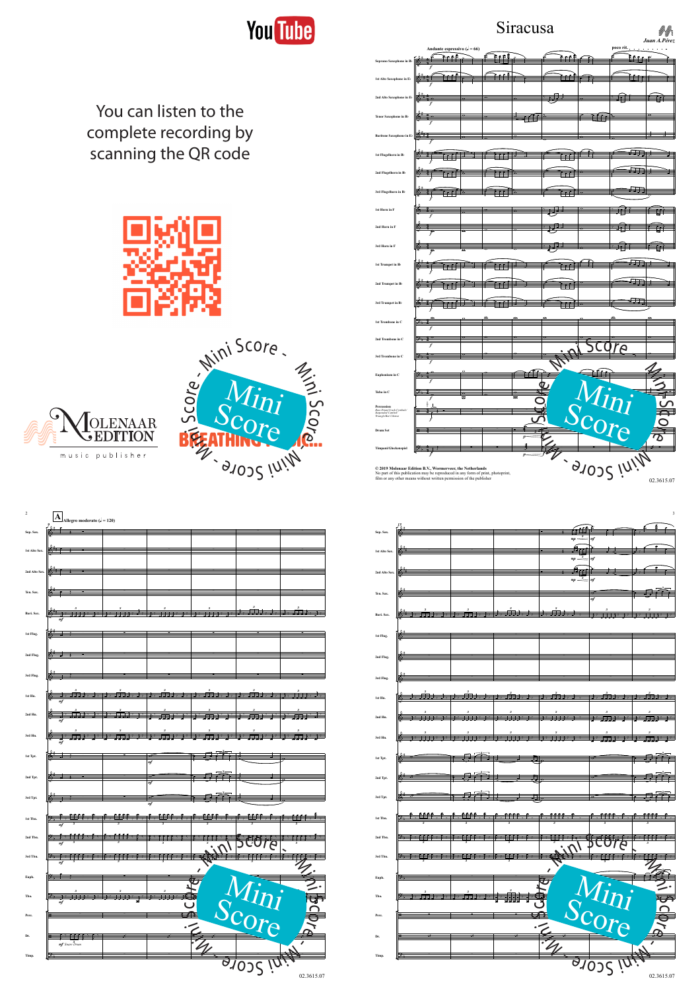

 $1500/6$ 

You can listen to the complete recording by scanning the QR code





|               | A<br>Allegro moderato (= = 120) |                                                 |                          |          |                                            |             |
|---------------|---------------------------------|-------------------------------------------------|--------------------------|----------|--------------------------------------------|-------------|
| Sop. Sax.     |                                 |                                                 |                          |          |                                            |             |
| 1st Alto Sax. |                                 |                                                 |                          |          |                                            |             |
| 2nd Alto Sax. |                                 |                                                 |                          |          |                                            |             |
|               |                                 |                                                 |                          |          |                                            |             |
| Ten. Sax.     |                                 |                                                 |                          |          |                                            |             |
| Bari, Sax.    |                                 |                                                 |                          |          |                                            |             |
| 1st Flug.     |                                 |                                                 |                          |          |                                            |             |
|               |                                 |                                                 |                          |          |                                            |             |
| 2nd Flug.     |                                 |                                                 |                          |          |                                            |             |
| 3rd Flug.     |                                 |                                                 |                          |          |                                            |             |
| 1st Hn.       |                                 | 历才<br>$\rightarrow$ $\rightarrow$ $\rightarrow$ | カホトトト                    | ארא אנלג | カルト・トーリー カリー                               |             |
| 2nd Hn.       | ۰                               |                                                 |                          | البارار  |                                            | ÷<br>الرابا |
| 3rd Hn.       | é                               |                                                 |                          | के       | mг                                         | mм          |
| 1st Tpt.      |                                 |                                                 |                          |          |                                            |             |
|               |                                 |                                                 | wf                       |          |                                            |             |
| 2nd Tpt.      |                                 |                                                 |                          |          |                                            |             |
| 3rd Tpt.      |                                 |                                                 |                          |          |                                            |             |
| 1st Thu.      |                                 | $\Gamma$ , $\Gamma$ , $\Gamma$                  | $\overline{\phantom{a}}$ |          |                                            |             |
| 2nd The       |                                 |                                                 |                          |          | Ã                                          |             |
| 3rd Thn       |                                 |                                                 |                          |          |                                            |             |
| Euph.         |                                 |                                                 |                          |          |                                            |             |
| Tba.          |                                 |                                                 |                          |          | Mini                                       |             |
| Perc.         | Ħ                               |                                                 |                          |          |                                            |             |
| Dr.           | <u>ang pa</u><br>Œ              |                                                 |                          |          |                                            |             |
|               | af Snare Drum                   |                                                 |                          | 气气       |                                            |             |
| Time          |                                 |                                                 |                          |          | $\overline{\overline{\partial_{10}}^{20}}$ |             |
|               |                                 |                                                 |                          |          |                                            |             |

|                                                                                                                                                                                                                     |    |                             |   | Siracusa |      |                   |              |
|---------------------------------------------------------------------------------------------------------------------------------------------------------------------------------------------------------------------|----|-----------------------------|---|----------|------|-------------------|--------------|
|                                                                                                                                                                                                                     |    | Andante espressivo (= = 66) |   |          |      | poco rit.         | Juan A.Pérez |
| oprano Saxophone in B                                                                                                                                                                                               |    |                             |   |          |      |                   |              |
| 1st Alto Saxophone in E-                                                                                                                                                                                            |    |                             |   |          |      |                   |              |
| 2nd Alto Saxophone in ${\rm E}\flat$                                                                                                                                                                                |    |                             |   |          |      |                   |              |
| Saxophone in B-<br>Tenor                                                                                                                                                                                            |    |                             | ≖ |          |      |                   |              |
| ne Saxophone in E-<br>Barito                                                                                                                                                                                        |    |                             |   |          |      |                   |              |
| 1st Flugelhorn in B-                                                                                                                                                                                                |    |                             |   |          |      |                   |              |
| 2nd Flugelhorn in Bi                                                                                                                                                                                                |    |                             |   |          |      |                   |              |
| 3rd Flugelhorn in Bi                                                                                                                                                                                                |    |                             |   |          |      |                   |              |
| 1st Horn in F                                                                                                                                                                                                       | t, |                             |   |          |      |                   |              |
| 2nd Horn in F                                                                                                                                                                                                       |    |                             |   |          |      |                   |              |
| 3rd Horn in F                                                                                                                                                                                                       |    |                             |   |          |      |                   |              |
| 1st Trumpet in Bi-                                                                                                                                                                                                  |    |                             |   |          |      |                   |              |
| 2nd Trumpet in B-                                                                                                                                                                                                   |    |                             |   |          |      |                   |              |
| 3rd Trumpet in B-                                                                                                                                                                                                   |    |                             |   |          |      |                   |              |
| 1st Trombone in C                                                                                                                                                                                                   |    |                             |   |          |      |                   |              |
| 2nd Trombone in C                                                                                                                                                                                                   |    |                             |   |          |      | C0 <i>r</i> م     |              |
| 3rd Trombone in C                                                                                                                                                                                                   |    |                             |   |          |      |                   |              |
| Euphonium in C                                                                                                                                                                                                      |    |                             |   |          |      |                   |              |
| Tuba in C                                                                                                                                                                                                           | ナー |                             |   |          |      |                   |              |
| <b>Percussion</b><br>Bats DramCrash Cym<br>Suspended Cymhal<br>Triangle/Bar Chimes                                                                                                                                  |    |                             |   |          | Mini |                   |              |
| <b>Drum Set</b>                                                                                                                                                                                                     | Ŧ  |                             |   |          |      |                   |              |
| Timpani/Glockenspiel                                                                                                                                                                                                |    |                             |   |          |      |                   |              |
| © 2019 Molenaar Edition B.V., Wormerveer, the Netherlands<br>No part of this publication may be reproduced in any form of print, photoprint,<br>film or any other means without written permission of the publisher |    |                             |   |          |      | <b>PIUIS COLG</b> | 02.3615.07   |

|                  |              |      |          |                    | m/   |          |
|------------------|--------------|------|----------|--------------------|------|----------|
| 1st Alto Sax.    |              |      |          | Ŧ.                 |      |          |
|                  |              |      |          |                    | щf   |          |
| 2nd Alto Sax     |              |      |          |                    |      |          |
|                  |              |      |          |                    | щf   |          |
| Ten, Sax         |              |      |          |                    | πf   |          |
| Bari, Sa         |              |      |          | Ŧ                  |      |          |
|                  |              |      |          |                    |      |          |
| <b>1st Flug.</b> |              |      |          |                    |      |          |
|                  |              |      |          |                    |      |          |
| 2nd Flug         |              |      |          |                    |      |          |
|                  |              |      |          |                    |      |          |
| 3rd Flug         |              |      |          |                    |      |          |
|                  |              |      |          |                    |      |          |
| 1st Hn.          |              |      |          |                    |      |          |
| 2nd Hn.          |              | m    |          | m e                |      | 用控控<br>≢ |
|                  |              |      |          |                    |      |          |
| 3rd Hn.          |              |      |          |                    |      |          |
|                  |              |      |          |                    |      |          |
| 1st Tpt.         |              |      |          |                    |      |          |
| 2nd Tpt.         |              |      | 非        |                    |      |          |
|                  |              |      |          |                    |      |          |
| 3rd Tpt.         |              |      |          |                    |      |          |
|                  |              |      |          |                    |      |          |
| 1st Tbn.         |              |      |          |                    |      |          |
| 2nd Tbn.         |              |      |          |                    |      |          |
|                  |              |      |          |                    | À    |          |
| 3rd Tbn          |              |      |          |                    |      |          |
| Euph.            | <del>≆</del> |      |          |                    |      |          |
|                  |              |      |          | ₹                  |      |          |
| Tba.             |              | د در | न ©<br>₹ |                    |      |          |
|                  |              |      |          |                    |      |          |
| Pere.            | Ŧ            |      |          |                    | Mini |          |
| Dr.              | ₩            |      |          |                    |      |          |
|                  |              |      |          |                    |      |          |
| Tin              |              |      |          | <b>FEDIDAL AND</b> |      |          |
|                  |              |      |          |                    |      |          |
|                  |              |      |          |                    |      | 3615.07  |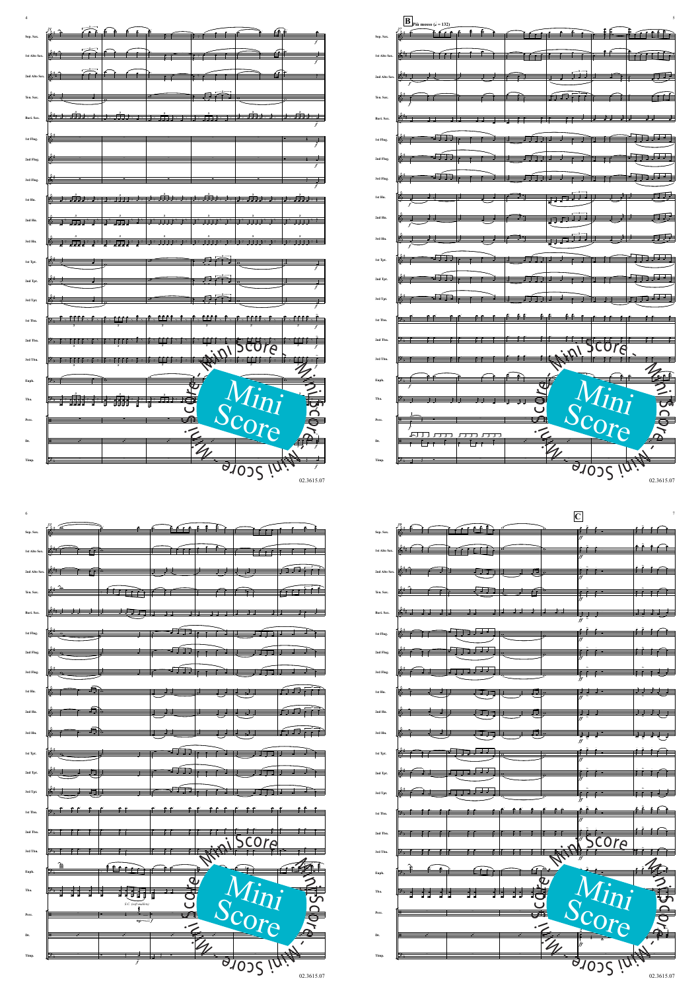| Sop. Sax      |             |               |         |           |             |           |                             |    |    |
|---------------|-------------|---------------|---------|-----------|-------------|-----------|-----------------------------|----|----|
|               |             |               |         |           |             |           |                             |    |    |
| 1st Alto Sax. |             |               |         |           |             |           |                             |    |    |
| 2nd Alto Sax  |             |               |         |           |             |           |                             |    |    |
| Ten, Sax      |             |               |         |           |             |           |                             |    |    |
| Bari, Sax.    |             |               |         |           |             |           |                             |    | л. |
| 1st Flug.     |             |               |         |           |             |           |                             |    |    |
| 2nd Flug.     |             |               |         |           |             |           |                             |    |    |
| 3rd Flug      |             |               |         |           |             |           |                             |    |    |
| 1st Hn.       |             |               |         |           |             |           |                             |    |    |
| 2nd Hn.       | Ġ           | יו ייתר יו יה |         |           | <b>TIME</b> | יי יותיון | 用控制                         | ⊨  | 刀戸 |
| 3rd Hn.       |             |               | ا البرا |           |             |           |                             |    | ≖  |
| 1st Tpt.      |             |               |         |           |             |           |                             |    |    |
| 2nd Tot       |             |               |         |           |             |           |                             |    |    |
| 3rd Tpt.      |             |               |         |           |             |           |                             |    |    |
| 1st Thu.      |             |               |         |           |             |           |                             |    |    |
| 2nd Thu       |             |               |         |           |             |           |                             |    |    |
| 3rd Tbn       |             |               |         |           |             |           |                             | ้ค |    |
| Euph          | <del></del> |               |         |           |             |           |                             |    |    |
| Tha           |             |               | 围       | كالمستنبذ | 开展开         |           | Mini                        |    |    |
| Perc.         |             |               |         |           |             |           |                             |    |    |
|               |             |               |         |           |             |           |                             |    |    |
| Dr.           | ∓           |               |         |           |             | 石         |                             |    |    |
| Tim           |             |               |         |           |             |           | $\overline{\frac{1000}{5}}$ |    |    |
|               |             |               |         |           |             |           |                             |    |    |

| 1st Alto Sax. |        |        |                          |   |     |                    |                    |  |
|---------------|--------|--------|--------------------------|---|-----|--------------------|--------------------|--|
| 2nd Alto Sax  | tà,    |        |                          |   |     | لب                 |                    |  |
| Ten. Sax.     |        |        |                          |   |     |                    |                    |  |
| Bari, Sax.    | 嚣      |        |                          |   | ᆍ   |                    |                    |  |
| 1st Flug.     | Z      |        |                          |   |     |                    |                    |  |
| 2nd Flug.     | 6      |        |                          |   |     |                    |                    |  |
| 3rd Flug.     | z,     |        |                          |   |     |                    |                    |  |
| 1st Hn.       |        |        |                          |   |     | 코                  |                    |  |
| 2nd Hn.       |        |        |                          |   |     | 一、                 |                    |  |
| 3rd Hn.       | 鬗      |        |                          |   |     |                    |                    |  |
| 1st Tpt.      |        |        |                          |   |     |                    |                    |  |
| 2nd Tpt       | á      |        |                          |   |     |                    |                    |  |
| 3rd Tpt.      | 凾      |        |                          |   |     |                    |                    |  |
| 1st The       | Ŧ      |        |                          |   |     |                    |                    |  |
| 2nd Thu       |        |        |                          |   |     |                    |                    |  |
| 3rd Thn       |        |        |                          |   |     |                    |                    |  |
| Eupl          |        |        |                          |   |     |                    |                    |  |
| Tba.          | 匿<br>₹ | Ę<br>ŧ | 妻子                       | Q |     |                    | <i><b>Tinj</b></i> |  |
| Perc.         | ⊞      |        | S.C. (soft mallets)<br>ŧ |   |     |                    | Score              |  |
| Dr.           |        |        |                          |   |     |                    |                    |  |
|               | Ŧ      |        |                          |   | TU. |                    |                    |  |
|               |        |        |                          |   |     | $\overline{70}$ כס |                    |  |

|                      |    | $B$ Più mosso ( $=$ 132) |  |   |                          |      |                    |   |            |
|----------------------|----|--------------------------|--|---|--------------------------|------|--------------------|---|------------|
|                      |    |                          |  |   |                          |      |                    |   |            |
| <b>1st Alto Sax.</b> |    |                          |  |   |                          |      |                    |   |            |
| 2nd Alto Sax.        | é  |                          |  |   |                          |      |                    |   |            |
| Ten. Sax.            | Ų. |                          |  |   |                          |      |                    |   |            |
| Bari, Sax.           |    |                          |  |   |                          | h    |                    |   |            |
| 1st Flug.            |    |                          |  |   |                          |      |                    |   |            |
| 2nd Flug.            |    |                          |  |   |                          |      |                    |   |            |
| 3rd Flug             |    |                          |  |   |                          |      |                    |   |            |
| 1st Hn.              |    |                          |  |   | ₹<br>₹                   |      |                    |   |            |
| 2nd Hn.              | Ģ  |                          |  |   | ₹                        |      |                    |   | ≖          |
| 3rd Hn.              |    |                          |  |   |                          |      |                    |   |            |
| 1st Tpt.             |    |                          |  |   |                          |      |                    |   |            |
| 2nd Tpt.             |    |                          |  |   |                          |      |                    |   |            |
| 3rd Tpt.             |    |                          |  |   |                          |      |                    |   | ≖          |
| 1st Tbn.             |    |                          |  |   |                          |      |                    |   |            |
| 2nd Thu.             |    |                          |  |   |                          |      |                    | A |            |
| 3rd Tbn.             | ₹  |                          |  |   |                          |      |                    |   |            |
| Euph.                | 2, |                          |  |   |                          |      |                    |   |            |
| Tha.                 |    |                          |  | Ħ |                          | Mini |                    |   |            |
| Pere.                | H  |                          |  |   |                          |      |                    |   |            |
| Dr.                  | Ŧ  |                          |  |   | $\overline{\mathcal{U}}$ |      |                    |   |            |
| Tin                  |    |                          |  |   |                          |      | $\overline{31025}$ |   |            |
|                      |    |                          |  |   |                          |      |                    |   | 02.3615.07 |



02.3615.07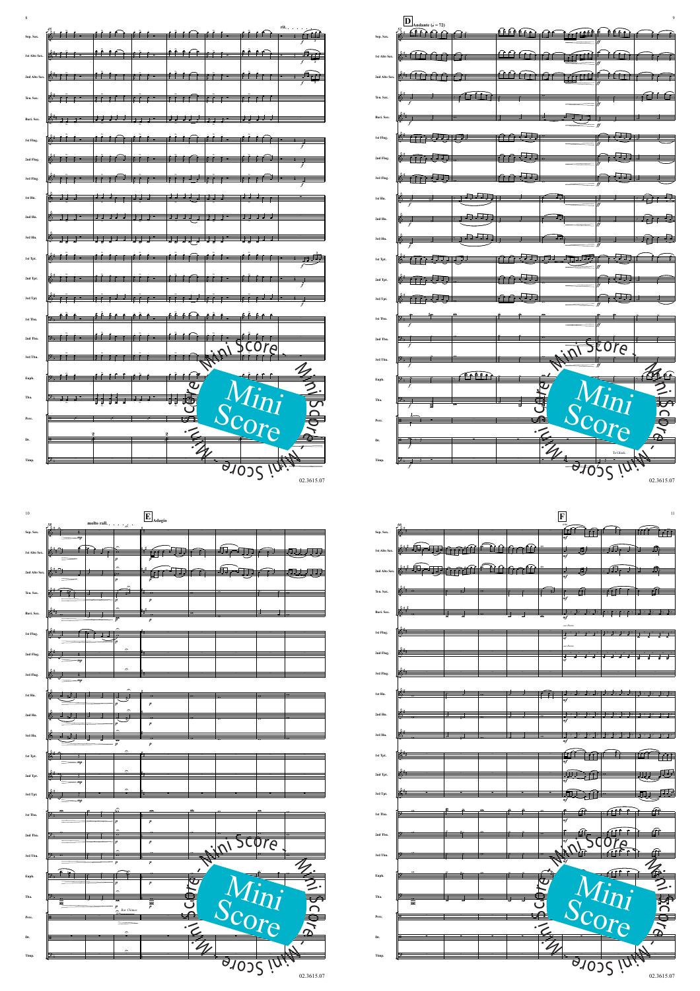

| 10           |   | molto rall |                   | $\boxed{\mathbf{E}}_{\rm Adagio}$ |         |                                                                   |     |                         |
|--------------|---|------------|-------------------|-----------------------------------|---------|-------------------------------------------------------------------|-----|-------------------------|
| Sop. Sax.    |   |            |                   |                                   |         |                                                                   |     |                         |
| 1st Alto Sax |   |            |                   |                                   |         |                                                                   |     |                         |
| 2nd Alto Sax |   |            |                   |                                   |         |                                                                   |     |                         |
| Ten. Sax     |   |            |                   |                                   |         |                                                                   |     |                         |
| Bari, Sax.   |   |            |                   | $\boldsymbol{p}$                  |         |                                                                   |     |                         |
| 1st Flug.    |   |            |                   | $\boldsymbol{p}$                  |         |                                                                   |     |                         |
|              |   |            |                   |                                   |         |                                                                   |     |                         |
| 2nd Flug.    |   |            |                   |                                   |         |                                                                   |     |                         |
| 3rd Flug.    |   |            |                   |                                   |         |                                                                   |     |                         |
| 1st Hn.      |   |            |                   | p                                 |         |                                                                   |     |                         |
| 2nd Hn       |   |            |                   | $\boldsymbol{p}$                  |         |                                                                   |     |                         |
| 3rd Hn.      |   |            |                   | p                                 |         |                                                                   |     |                         |
| 1st Tpt.     | Ŧ |            |                   |                                   |         |                                                                   |     |                         |
| 2nd Tpt      |   |            |                   |                                   |         |                                                                   |     |                         |
| 3rd Tpt.     |   |            |                   |                                   |         |                                                                   |     |                         |
| 1st The      |   |            |                   |                                   |         |                                                                   |     |                         |
| 2nd The      |   |            | p                 | $\boldsymbol{p}$                  |         |                                                                   |     |                         |
|              |   |            | p                 | $\boldsymbol{p}$                  |         | $\frac{1}{\sqrt{1150}}$                                           | 're |                         |
| 3rd The      |   |            | $\boldsymbol{p}$  | $\boldsymbol{p}$                  |         |                                                                   |     |                         |
| Euph         |   |            | p                 | $\boldsymbol{p}$                  |         |                                                                   |     |                         |
| Tba.         |   |            |                   | $\frac{1}{p}$                     |         |                                                                   |     |                         |
| Perc.        |   |            | <b>Bar Chimes</b> |                                   |         | Mini                                                              |     |                         |
| Dr.          | ∓ |            |                   |                                   | S<br>一个 |                                                                   |     | $\overline{\mathbf{c}}$ |
| Time         |   |            |                   |                                   |         |                                                                   |     |                         |
|              |   |            |                   |                                   |         | $\overline{\overline{\partial_{J}}_0}$<br>$\overline{\mathsf{C}}$ |     |                         |

|               | $\boxed{\mathbf{D}}_{\text{Andante (l = 72)}}$ |  |                             |                     |          | $\circ$    |
|---------------|------------------------------------------------|--|-----------------------------|---------------------|----------|------------|
| Son, Sax.     | Z                                              |  |                             |                     |          |            |
| 1st Alto Sax. |                                                |  |                             |                     |          |            |
| 2nd Alto Sax. |                                                |  |                             |                     |          |            |
| Ten. Sax.     | Ġ                                              |  |                             | $\frac{1}{\theta}$  |          |            |
| Bari, Sax.    | ķ                                              |  |                             | ň                   |          |            |
| 1st Flug.     | Š                                              |  |                             |                     |          |            |
| 2nd Flug.     |                                                |  |                             |                     |          |            |
| 3rd Flug.     | 孟                                              |  |                             |                     |          |            |
| 1st Hn.       | 孟                                              |  |                             | ₹                   |          | Ŧ,         |
| 2nd Hn.       |                                                |  | J                           |                     |          | ■          |
| 3rd Hn.       | é                                              |  |                             | 員<br>ñ              |          |            |
| 1st Tpt.      | 奉                                              |  |                             | 77.00               |          |            |
| 2nd Tpt.      | 6                                              |  |                             |                     |          |            |
| 3rd Tpt.      | 委                                              |  |                             | Ħ<br>$\overline{y}$ |          |            |
| 1st Tbn.      | 实                                              |  |                             |                     |          |            |
| 2nd Tbn.      | 实                                              |  |                             | iC(                 | Ά        |            |
| 3rd Tbn.      | 去                                              |  |                             |                     |          |            |
| Euph.         | ₹                                              |  |                             |                     |          | É£         |
| Tba.          | ħ                                              |  |                             | Mini                |          |            |
| Pere.         | H                                              |  |                             |                     |          |            |
| Dr.           | Ħ                                              |  |                             |                     |          |            |
| Timp          | 9≒<br>3                                        |  | $\mathcal{T}_{\mathcal{U}}$ |                     | To Glock |            |
|               |                                                |  |                             |                     |          | 02.3615.07 |

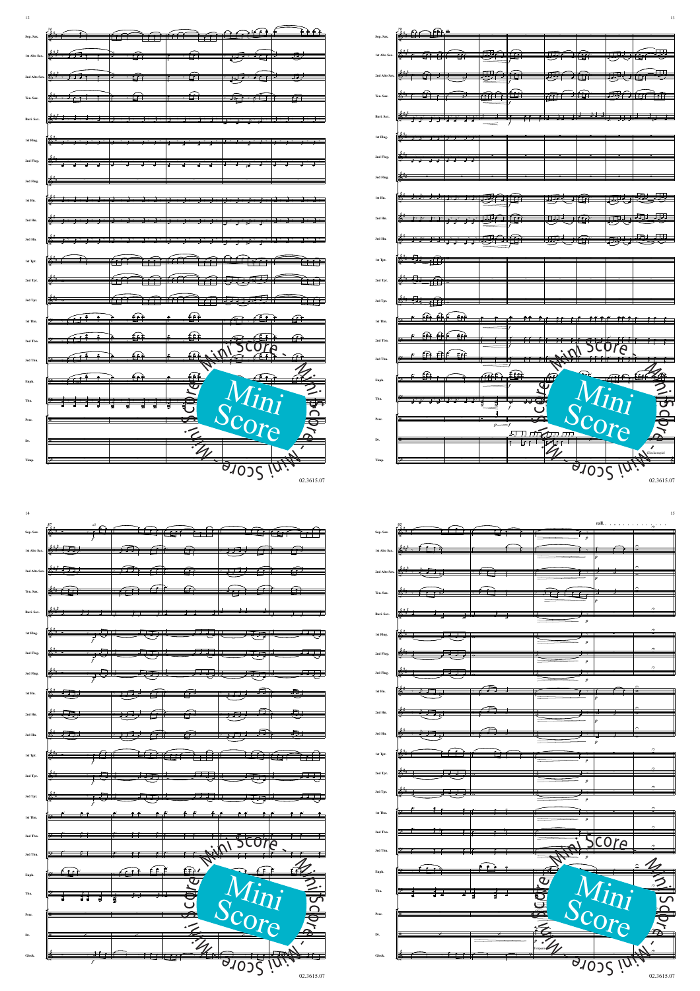| Sop. Sax.     |        |     |   |                                          |                   |                  |
|---------------|--------|-----|---|------------------------------------------|-------------------|------------------|
| 1st Alto Sax. |        |     |   |                                          |                   |                  |
| 2nd Alto Sax. |        |     |   |                                          |                   |                  |
| Ten. Sax.     |        |     |   |                                          |                   |                  |
| Bari, Sax.    |        | ∸   | ⊷ | 32 J X 32                                | H<br>ī            |                  |
| 1st Flug.     |        |     |   | Ŧ                                        |                   |                  |
| 2nd Flug.     | 讏<br>Ŧ |     | ₹ | ₹<br>₹<br>Ŧ                              | ₹                 |                  |
| 3rd Flug.     |        |     |   |                                          |                   |                  |
| 1st Hn.       |        |     |   | <del>.</del><br>$\overline{\phantom{a}}$ |                   | ∸<br>∸<br>ᆂ<br>→ |
| 2nd Hn.       |        |     |   | ⋣                                        | ∓                 | Ŧ                |
| 3rd Hn.       |        |     |   |                                          |                   |                  |
| 1st Tpt.      |        |     |   |                                          |                   |                  |
| 2nd Tpt       |        |     |   |                                          |                   |                  |
| 3rd Tpt.      |        |     |   |                                          |                   |                  |
| 1st Thu.      |        | ਜਿੰ |   | Ė₽                                       | ÷                 |                  |
| 2nd The       |        |     |   |                                          |                   |                  |
| 3rd The       |        |     |   |                                          |                   |                  |
| Euph          |        | ÊĤ  |   |                                          |                   |                  |
| Tba.          | 9      |     |   | பு ,⊙                                    |                   |                  |
| Perc.         | Ŧ      |     |   |                                          | Score             |                  |
| Dr.           | Ŧ      |     |   | "看"                                      |                   |                  |
| Time          |        |     |   |                                          | $\frac{1}{24000}$ | 02.3615.07       |

| 14            |        |                     |                   |                         |            |
|---------------|--------|---------------------|-------------------|-------------------------|------------|
| Sop. Sax.     |        |                     |                   |                         |            |
| 1st Alto Sax. |        |                     |                   |                         |            |
| 2nd Alto Sax. |        |                     |                   |                         |            |
| Ten. Sax.     | 氐      |                     |                   |                         |            |
| Bari, Sax.    |        | ਜ∄                  |                   |                         | Ŧ          |
| 1st Flug.     | ¥<br>₹ | ⋥                   |                   |                         | ≡          |
| 2nd Flug.     | ₹      |                     |                   |                         |            |
| 3rd Flug.     | †o     |                     |                   |                         |            |
| 1st Hn.       |        | $\rightarrow$<br>टा |                   | ⊤                       |            |
| 2nd Hn.       |        | 35                  |                   | - 7                     |            |
| 3rd Hn.       | 瞌      |                     |                   | 万                       |            |
| 1st Tpt.      | 屖<br>Ŧ |                     |                   |                         |            |
| 2nd Tpt.      | Ţ      | ≖                   |                   |                         |            |
| 3rd Tpt.      |        |                     |                   |                         | ⋿          |
| 1st Thu.      |        |                     |                   |                         |            |
| 2nd Thu.      |        |                     |                   |                         | ρ          |
| 3rd Tbn.      |        |                     |                   |                         |            |
| Euph.         |        | €€                  | $f_{f}$<br>₽<br>Φ |                         |            |
| Tba.          |        | 戸                   |                   |                         |            |
| Perc.         |        |                     |                   | Dre                     |            |
| Dr.           |        |                     |                   |                         |            |
| Gloci         | f      |                     | Δ.                | $\overline{\partial}_J$ |            |
|               |        |                     |                   |                         | 02.3615.07 |

| Sop. Sax.     | fe)          | œ                |         |                     |   |                    |        |              |
|---------------|--------------|------------------|---------|---------------------|---|--------------------|--------|--------------|
|               |              |                  |         |                     |   |                    |        |              |
| 1st Alto Sax. |              |                  | 理者<br>₹ | Ŧ                   | 庚 | t.                 | 飋      |              |
| 2nd Alto Sax. | 4            |                  |         | ÷                   | щ | Œ                  | 盯      | ₩            |
| Ten, Sax.     | 6<br>₹       |                  | ŕП      |                     | € |                    | ᅹ      |              |
| Bari, Sax     | 裔<br>تراترتر | لنقيض<br>∌       |         | €                   |   |                    | لتسرير |              |
| 1st Flug.     |              |                  |         |                     |   |                    |        |              |
| 2nd Flug      |              | ₹<br>乒<br>∍<br>∃ |         |                     |   |                    |        |              |
| 3rd Flug.     |              |                  |         |                     |   |                    |        |              |
| 1st Hn.       |              |                  |         |                     | 典 | τ                  | ₩      |              |
| 2nd Hn.       |              |                  |         |                     | 更 | Ē.                 | 題      | л.<br>P      |
| 3rd Hn.       | t,           |                  | فطرا    | æ                   | H | r.                 |        | Ħ            |
| 1st Tpt.      | é            |                  |         |                     |   |                    |        |              |
| 2nd Tpt.      | Œ            |                  |         |                     |   |                    |        |              |
| 3rd Tpt.      | ۵.<br>莓      |                  |         |                     |   |                    |        |              |
| 1st Tbn.      | Ë.           | 려                |         |                     |   |                    |        |              |
| 2nd Thu.      | ĖÊ<br>Ĥ      | ĔĖÊ              |         |                     |   |                    | A      |              |
| 3rd Tbn.      | Ĕ            | ₽.               |         |                     |   |                    |        |              |
| Euph.         | ñ            |                  |         | £                   |   |                    |        |              |
| Tba.          | Э            |                  | Ë       | Ħ<br>f              |   |                    |        |              |
| Pere.         | ≖            |                  | ŧ<br>p  | ٠,                  |   | Mini               |        |              |
| Dr.           | Ŧ            |                  |         | <u>л</u><br>Л<br>л. | ⋝ |                    |        | ≏<br>ł       |
| Timp          |              |                  |         |                     | V | $\overline{51025}$ |        | Glockenspiel |
|               |              |                  |         |                     |   |                    |        | 02.3615.07   |
|               |              |                  |         |                     |   |                    |        |              |

|               |   |   |                |                  |                               | 15         |
|---------------|---|---|----------------|------------------|-------------------------------|------------|
|               |   |   |                |                  | rall.                         |            |
| Son, Sax.     |   |   |                | $\boldsymbol{p}$ |                               |            |
|               |   |   |                |                  |                               |            |
| 1st Alto Sax. |   |   |                |                  |                               |            |
|               |   |   |                |                  |                               |            |
| 2nd Alto Sax. |   |   |                |                  | p                             |            |
|               |   |   |                |                  |                               |            |
| Ten. Sax.     |   |   |                |                  |                               |            |
|               |   |   |                |                  |                               |            |
| Bari, Sax     |   |   |                | p                |                               |            |
|               |   |   |                |                  |                               |            |
| 1st Flug.     |   | ₹ |                | $\boldsymbol{p}$ |                               |            |
| 2nd Flug      |   |   |                |                  |                               |            |
|               |   |   |                | $\boldsymbol{p}$ |                               |            |
| 3rd Flug      |   |   |                |                  |                               |            |
|               |   |   |                | p                |                               |            |
| 1st Hn.       |   |   |                |                  |                               |            |
|               |   |   |                |                  |                               |            |
| 2nd Hn.       |   |   |                |                  |                               |            |
|               |   |   |                |                  | p                             |            |
| 3rd Hn.       |   |   |                |                  |                               |            |
|               |   |   |                |                  |                               |            |
| 1st Tpt.      |   |   |                | 3                |                               |            |
|               |   |   |                | $\boldsymbol{p}$ |                               |            |
| 2nd Tpt.      |   |   |                |                  |                               |            |
|               |   |   |                | p                |                               |            |
| 3rd Tpt.      |   |   |                | $\boldsymbol{p}$ |                               |            |
|               |   |   |                |                  |                               |            |
| 1st Tbn.      |   |   |                | p                |                               |            |
| 2nd Tbn.      |   |   |                |                  |                               |            |
|               |   |   |                |                  | CO<br>$\overline{\mathsf{a}}$ |            |
| 3rd Tbn.      |   |   |                |                  |                               |            |
|               |   |   |                |                  |                               |            |
| Euph.         |   |   |                |                  |                               |            |
|               |   |   | a              |                  |                               |            |
| Tba.          |   |   |                |                  |                               |            |
|               |   |   |                |                  |                               |            |
| Pere.         | Ħ |   |                |                  |                               |            |
|               |   |   |                |                  |                               |            |
| Dr.           | H |   |                |                  | VIIIII                        |            |
|               |   |   |                |                  |                               | í          |
| Glock         |   |   | $\overline{4}$ |                  |                               |            |
|               |   |   |                |                  | $\overline{61025}$            |            |
|               |   |   |                |                  |                               | 02.3615.07 |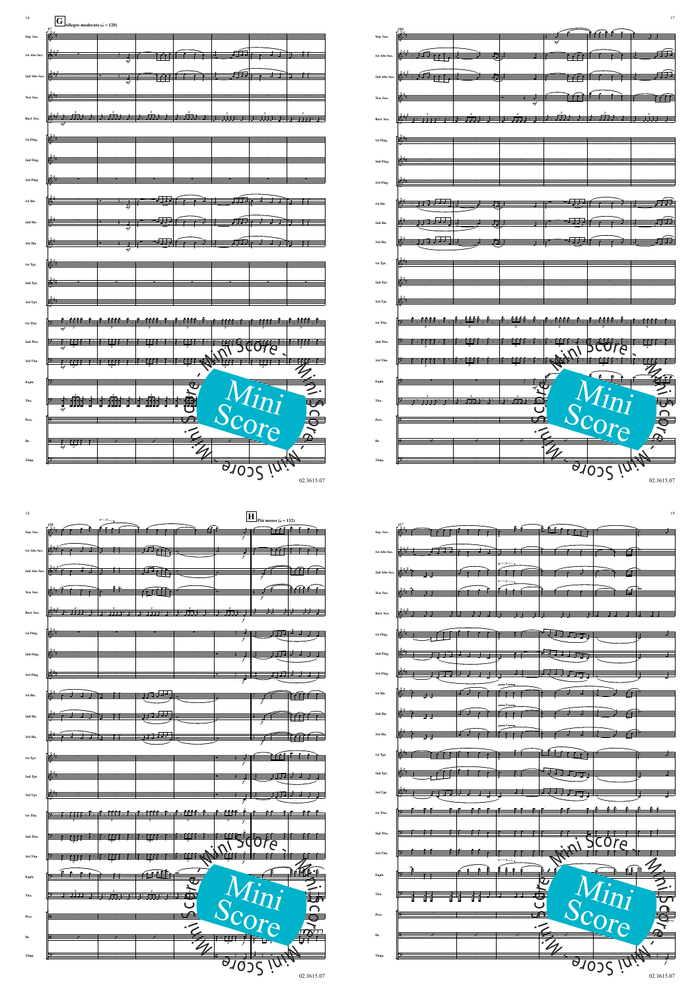| 16           | $\fbox{120} \begin{tabular}{ c c } \hline \quad \quad & \quad \quad & \quad \quad \\ \hline \quad \quad & \quad \quad & \quad \quad \\ \hline \quad \quad & \quad \quad & \quad \quad \\ \hline \end{tabular} \caption{Ailegro~moderator~(J=120)}$ |   |    |                                                   |   |
|--------------|----------------------------------------------------------------------------------------------------------------------------------------------------------------------------------------------------------------------------------------------------|---|----|---------------------------------------------------|---|
| Sop. Sax     |                                                                                                                                                                                                                                                    |   |    |                                                   |   |
| 1st Alto Sax |                                                                                                                                                                                                                                                    |   |    |                                                   |   |
| 2nd Alto Sax |                                                                                                                                                                                                                                                    |   |    |                                                   |   |
| Ten. Sax     |                                                                                                                                                                                                                                                    |   |    |                                                   |   |
| Bari, Sax.   |                                                                                                                                                                                                                                                    |   |    |                                                   |   |
|              |                                                                                                                                                                                                                                                    |   |    |                                                   |   |
| 1st Flug.    |                                                                                                                                                                                                                                                    |   |    |                                                   |   |
| 2nd Flug.    |                                                                                                                                                                                                                                                    |   |    |                                                   |   |
| 3rd Flug.    |                                                                                                                                                                                                                                                    |   |    |                                                   |   |
| 1st Hn.      |                                                                                                                                                                                                                                                    |   |    |                                                   |   |
| 2nd Hn.      | ń                                                                                                                                                                                                                                                  | J |    | H                                                 |   |
|              |                                                                                                                                                                                                                                                    |   |    |                                                   |   |
| 3rd Hn.      |                                                                                                                                                                                                                                                    |   |    |                                                   |   |
| 1st Tpt      |                                                                                                                                                                                                                                                    |   |    |                                                   |   |
| 2nd Tot      |                                                                                                                                                                                                                                                    |   |    |                                                   |   |
| 3rd Tpt.     |                                                                                                                                                                                                                                                    |   |    |                                                   |   |
| 1st The      |                                                                                                                                                                                                                                                    |   |    |                                                   |   |
|              |                                                                                                                                                                                                                                                    |   |    |                                                   |   |
| 2nd The      |                                                                                                                                                                                                                                                    |   |    |                                                   |   |
| 3rd The      | f titl                                                                                                                                                                                                                                             |   |    |                                                   |   |
| Euph         |                                                                                                                                                                                                                                                    |   | O. |                                                   | ╱ |
| Tba.         |                                                                                                                                                                                                                                                    |   | g  | Mini                                              |   |
| Perc.        |                                                                                                                                                                                                                                                    |   |    |                                                   |   |
| Dr.          | ⊞<br>un f                                                                                                                                                                                                                                          |   |    |                                                   |   |
| Time         |                                                                                                                                                                                                                                                    |   | 安  |                                                   |   |
|              |                                                                                                                                                                                                                                                    |   |    | $\overline{\frac{\partial J_{0}}{\partial\zeta}}$ |   |
|              |                                                                                                                                                                                                                                                    |   |    |                                                   |   |

| 18            |           |                    |          |      |                                | $\boxed{H}$ Più mosso ( $I = 132$ ) |            |
|---------------|-----------|--------------------|----------|------|--------------------------------|-------------------------------------|------------|
| Sop. Sax.     |           |                    |          |      |                                |                                     |            |
| 1st Alto Sax. |           |                    |          |      | ₹<br>$\overline{\overline{f}}$ |                                     |            |
| 2nd Alto Sax. |           |                    |          |      |                                |                                     |            |
| Ten. Sax.     |           |                    | Å        |      |                                | Ŧ                                   |            |
| Bari, Sax.    | 月本区区<br>屫 | Ē<br>$\rightarrow$ |          | an F | F<br>ļ                         |                                     |            |
|               |           |                    |          |      |                                |                                     |            |
| 1st Flug.     |           |                    |          |      | ⋥<br>Ŧ                         |                                     | Z          |
| 2nd Flug      |           |                    |          |      | ⋣                              | 助                                   |            |
| 3rd Flug.     |           |                    |          |      | ļ                              | ₩                                   |            |
|               |           |                    |          |      |                                |                                     |            |
| 1st Hn.       |           |                    | ا البار  |      | $\overline{\mathbf{a}}$        |                                     |            |
| 2nd Hn.       |           |                    | 声        |      |                                |                                     |            |
| 3rd Hn.       |           |                    |          |      |                                |                                     |            |
|               |           |                    |          |      |                                |                                     |            |
| 1st Tpt.      |           |                    |          |      |                                |                                     |            |
| 2nd Tpt.      |           |                    |          |      |                                | ,,,                                 | Ŧ          |
| 3rd Tpt.      |           |                    |          |      |                                | 丑                                   |            |
| 1st The       |           |                    |          |      |                                |                                     |            |
|               |           |                    |          |      |                                |                                     |            |
| 2nd Thu.      | r e       |                    | 62000202 |      |                                | ρ                                   |            |
| 3rd Thn.      | m         |                    |          |      |                                |                                     |            |
|               |           |                    |          |      |                                |                                     | ٠é         |
| Euph          |           |                    |          |      |                                |                                     |            |
| Tba.          | ⇛         | <b>TTM</b>         | <b>M</b> |      |                                |                                     |            |
|               |           |                    |          |      |                                |                                     |            |
| Perc.         |           |                    |          |      |                                |                                     |            |
| Dr.           |           |                    |          |      | Mini                           |                                     |            |
|               |           |                    |          |      |                                |                                     |            |
| Timp          |           |                    |          |      | ষ্ট্য                          |                                     |            |
|               |           |                    |          |      |                                | συς γ                               |            |
|               |           |                    |          |      |                                |                                     | 02.3615.07 |

|                      | 104 |   |     |                 |      |            |
|----------------------|-----|---|-----|-----------------|------|------------|
| Sop. Sax             |     |   |     |                 |      |            |
|                      |     |   |     | щf              |      |            |
| <b>1st Alto Sax.</b> |     | ⊟ |     |                 |      |            |
|                      |     |   |     |                 |      |            |
|                      |     |   |     |                 |      |            |
| 2nd Alto Sax.        |     | € |     |                 |      | ≢          |
|                      |     |   |     |                 |      |            |
| Ten. Sax.            |     |   |     |                 |      |            |
|                      |     |   | mf  |                 |      |            |
|                      |     |   |     |                 |      |            |
| Bari, Sax            |     |   |     |                 |      |            |
|                      |     |   |     |                 |      |            |
| 1st Flug.            |     |   |     |                 |      |            |
|                      |     |   |     |                 |      |            |
|                      |     |   |     |                 |      |            |
| 2nd Flug             |     |   |     |                 |      |            |
|                      |     |   |     |                 |      |            |
| 3rd Flug             |     |   |     |                 |      |            |
|                      |     |   |     |                 |      |            |
|                      |     |   |     |                 |      |            |
| 1st Hn.              |     |   |     |                 |      |            |
|                      |     |   |     |                 |      |            |
| 2nd Hn.              |     |   |     |                 |      |            |
|                      |     |   |     |                 |      |            |
|                      |     |   |     |                 |      |            |
| 3rd Hn.              |     |   |     |                 |      |            |
|                      |     |   |     |                 |      |            |
| 1st Tpt.             |     |   |     |                 |      |            |
|                      |     |   |     |                 |      |            |
|                      |     |   |     |                 |      |            |
| 2nd Tpt.             |     |   |     |                 |      |            |
|                      |     |   |     |                 |      |            |
| 3rd Tpt.             |     |   |     |                 |      |            |
|                      |     |   |     |                 |      |            |
|                      |     |   |     |                 |      |            |
| 1st Tbn.             |     |   |     |                 |      |            |
|                      |     |   |     |                 |      |            |
| 2nd Tbn.             |     |   |     |                 |      |            |
|                      |     |   |     |                 |      |            |
| 3rd Tbn.             |     |   |     |                 |      |            |
|                      |     |   |     |                 |      |            |
|                      |     |   |     |                 |      |            |
| Euph.                |     |   |     |                 |      |            |
|                      |     |   |     |                 |      |            |
| Tba.                 |     |   | m r |                 |      |            |
|                      |     |   |     |                 |      |            |
| Pere.                |     |   |     |                 |      |            |
|                      |     |   |     |                 | Mini |            |
|                      |     |   |     |                 |      |            |
| Dr.                  | 표   |   |     |                 |      |            |
|                      |     |   |     |                 |      |            |
| Timp                 |     |   |     |                 |      |            |
|                      |     |   |     | <b>EL PLOTE</b> |      |            |
|                      |     |   |     |                 |      |            |
|                      |     |   |     |                 |      | 02.3615.07 |
|                      |     |   |     |                 |      |            |

 $\frac{17}{2}$ 



 $\tilde{f}$ <br>02.3615.07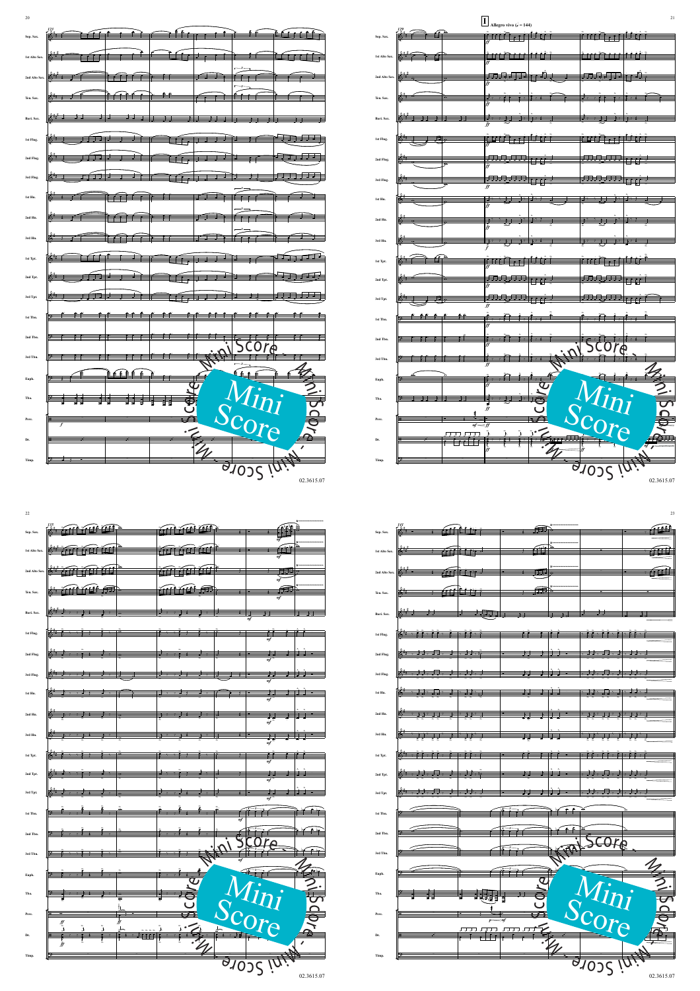| 1st Alto Sax. |                |   |                          |                |                     |              |
|---------------|----------------|---|--------------------------|----------------|---------------------|--------------|
| 2nd Alto Sax. |                |   |                          |                |                     |              |
| Ten. Sax.     |                |   |                          |                |                     |              |
| Bari, Sax.    |                |   |                          | $\overline{1}$ |                     |              |
| 1st Flug.     |                |   |                          |                |                     |              |
| 2nd Flug.     |                |   |                          |                |                     | ≠            |
| 3rd Flug.     | 氐              |   |                          |                |                     |              |
| 1st Hn.       | Z              |   |                          |                |                     |              |
| 2nd Hn        |                |   |                          | ┯╕             |                     |              |
| 3rd Hn.       |                |   |                          |                |                     |              |
| 1st Tpt.      |                |   |                          |                |                     |              |
| 2nd Tpt.      | 磊              |   |                          | ∓              |                     |              |
| 3rd Tpt.      |                |   |                          |                |                     |              |
| 1st Thu       |                |   |                          |                |                     | $\mathbf{f}$ |
| 2nd The       |                |   |                          |                |                     |              |
| 3rd Tbn       |                |   |                          |                |                     |              |
| Euph          | 字              | Ê |                          |                |                     |              |
| Tba.          | 匡              |   | ē<br>₹₹                  |                | Tinj                |              |
| Perc.         | x.             |   |                          |                | Score               |              |
| Dr.           | $\blacksquare$ |   | $\overline{\phantom{a}}$ | 气尘             |                     |              |
| Time          |                |   |                          |                |                     |              |
|               |                |   |                          |                | $\overline{d_{10}}$ | 02.3615.07   |
|               |                |   |                          |                |                     |              |

| Sop. Sax.     |                                      |               |          |                  |                      |              |
|---------------|--------------------------------------|---------------|----------|------------------|----------------------|--------------|
|               |                                      |               |          |                  |                      |              |
|               |                                      |               |          |                  |                      |              |
| 1st Alto Sax. |                                      |               |          |                  | ₫                    |              |
|               |                                      |               |          |                  |                      |              |
|               |                                      |               |          |                  |                      |              |
|               |                                      |               |          |                  |                      |              |
| 2nd Alto Sax. | 凾                                    |               |          |                  | 見越                   |              |
|               |                                      |               |          |                  |                      |              |
|               |                                      |               |          |                  |                      |              |
|               |                                      |               |          |                  | Œ                    |              |
| Ten. Sax.     | 孟                                    |               |          |                  |                      |              |
|               |                                      |               |          |                  |                      |              |
|               |                                      |               |          |                  |                      |              |
| Bari, Sax.    |                                      |               |          |                  |                      |              |
|               |                                      |               |          |                  |                      |              |
|               |                                      |               |          |                  |                      |              |
|               |                                      |               |          |                  |                      |              |
| 1st Flug.     |                                      |               |          |                  |                      |              |
|               |                                      |               |          |                  |                      |              |
|               |                                      |               |          |                  |                      |              |
| 2nd Flug.     |                                      |               |          |                  |                      |              |
|               |                                      |               |          |                  | 葜                    |              |
|               |                                      |               |          |                  |                      |              |
|               |                                      |               |          |                  |                      |              |
| 3rd Flug.     |                                      |               |          |                  | Þ                    |              |
|               |                                      |               |          |                  |                      |              |
|               |                                      |               |          |                  |                      |              |
| 1st Hn.       |                                      |               |          |                  |                      |              |
|               |                                      |               |          |                  | 葜                    |              |
|               |                                      |               |          |                  |                      |              |
|               |                                      |               |          |                  |                      |              |
| 2nd Hn.       | é,                                   |               | ₽        |                  | $\frac{1}{\sqrt{2}}$ |              |
|               |                                      |               |          |                  |                      |              |
|               |                                      |               |          |                  |                      |              |
|               |                                      |               |          |                  |                      |              |
| 3rd Hn.       |                                      |               |          |                  | म                    |              |
|               |                                      |               |          |                  |                      |              |
|               |                                      |               |          |                  |                      |              |
| 1st Tpt.      |                                      |               |          |                  | ਜ                    |              |
|               |                                      |               |          |                  |                      |              |
|               |                                      |               |          |                  |                      |              |
| 2nd Tot       |                                      |               |          |                  | ŧ                    |              |
|               |                                      |               |          |                  |                      |              |
|               |                                      |               |          |                  |                      |              |
|               |                                      |               |          |                  |                      |              |
| 3rd Tpt.      |                                      |               |          |                  |                      |              |
|               |                                      |               |          |                  |                      |              |
|               |                                      |               |          |                  |                      |              |
| 1st The       |                                      |               | É        |                  |                      |              |
|               |                                      |               |          |                  |                      |              |
|               |                                      |               |          |                  |                      |              |
|               |                                      |               |          |                  |                      |              |
| 2nd Thu.      | 9.                                   |               |          |                  |                      |              |
|               |                                      |               |          |                  | <u>Core</u>          |              |
|               |                                      |               |          |                  |                      |              |
| 3rd Tha       |                                      |               |          | أي               |                      |              |
|               |                                      |               |          | Á                |                      |              |
|               |                                      |               |          |                  |                      |              |
|               |                                      |               |          |                  |                      |              |
| Euph          |                                      |               |          |                  |                      |              |
|               |                                      |               |          |                  |                      |              |
|               |                                      |               |          |                  |                      |              |
| Tba.          |                                      | Þ             |          |                  |                      |              |
|               |                                      |               |          |                  | Mini                 |              |
|               |                                      |               |          |                  |                      |              |
|               |                                      |               |          |                  |                      |              |
| Perc.         | ⊞                                    |               |          |                  |                      |              |
|               |                                      |               |          |                  |                      |              |
|               |                                      |               |          |                  |                      |              |
| Dr.           | $\blacksquare$                       | $\frac{1}{1}$ | jërëtë s |                  |                      | $\mathbf{P}$ |
|               |                                      | ∔             |          |                  |                      |              |
|               | $\begin{array}{c}\n\pi\n\end{array}$ |               |          |                  |                      |              |
|               |                                      |               |          | $\mathbb{Z}_{2}$ |                      |              |
|               |                                      |               |          |                  | $\frac{1}{10000}$    |              |
|               |                                      |               |          |                  |                      |              |
|               |                                      |               |          |                  |                      |              |
|               |                                      |               |          |                  |                      |              |
|               |                                      |               |          |                  |                      | 02.3615.07   |

|               |   | $\boxed{\underline{\mathbf{I}}}$ Allegro vivo ( $\centerdot$ = 144) |        |              | 21                       |
|---------------|---|---------------------------------------------------------------------|--------|--------------|--------------------------|
| Sop. Sax.     | 7 | Ē                                                                   |        |              |                          |
| 1st Alto Sax. |   |                                                                     |        |              |                          |
| 2nd Alto Sax. | ¥ | 历厂                                                                  |        |              |                          |
| Ten, Sax.     |   | <del>⊥</del>                                                        | ₩<br>⊶ | <del>≢</del> |                          |
| Bari, Sax.    |   |                                                                     |        |              |                          |
| 1st Flug.     | Э | ň<br>m                                                              |        |              |                          |
| 2nd Flug.     |   | بسد                                                                 |        | ,,,,         |                          |
|               |   | ň                                                                   |        |              | ₽                        |
| 3rd Flug.     |   | 历月<br>ñ                                                             |        | ₩<br>J       |                          |
| 1st Hn.       |   | È<br>ñ                                                              |        |              |                          |
| 2nd Hn.       |   | ≸<br>ĥ                                                              |        |              |                          |
| 3rd Hn.       |   |                                                                     |        |              |                          |
| 1st Tpt.      |   |                                                                     |        |              |                          |
| 2nd Tpt.      |   | بحد                                                                 |        | ≖            |                          |
| 3rd Tpt.      |   | Ď                                                                   |        |              |                          |
| 1st Tbn.      |   | $f, -f$<br>≖                                                        |        | ł            | $\overline{\phantom{0}}$ |
| 2nd Thn.      |   | ñ                                                                   |        |              |                          |
| 3rd Tbn.      |   | £                                                                   |        |              |                          |
| Euph.         |   |                                                                     |        |              |                          |
| Tba.          |   |                                                                     |        |              |                          |
| Pere.         |   | b                                                                   |        |              |                          |
| Dr.           |   | ø                                                                   |        | Score        | 男                        |
|               |   |                                                                     |        | Ĭľ           |                          |
| Timp          |   |                                                                     |        | 91<br>ς      |                          |
|               |   |                                                                     |        |              | 02.3615.07               |